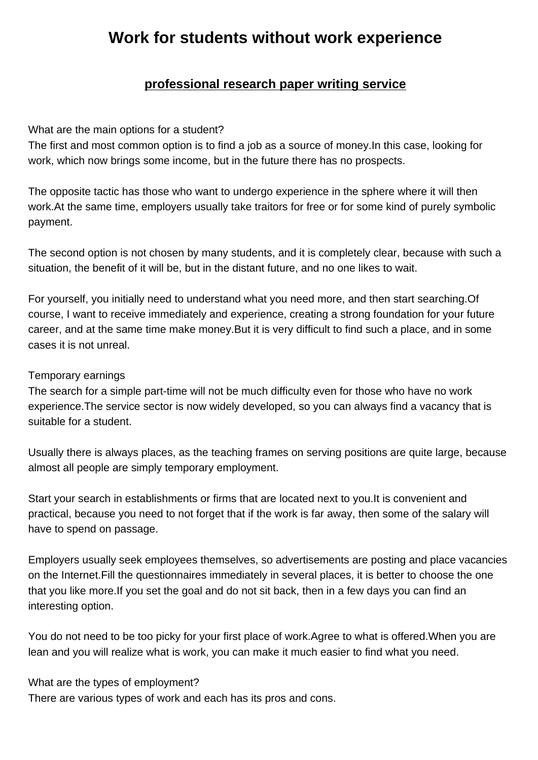## **professional research paper writing service**

**Work for students without work experience**

## What are the main optio[ns for a student?](https://www.buyessayscheap.com/research-paper-writing-service.html)

The first and most common option is to find a job as a source of money.In this case, looking for work, which now brings some income, but in the future there has no prospects.

The opposite tactic has those who want to undergo experience in the sphere where it will then work.At the same time, employers usually take traitors for free or for some kind of purely symbolic payment.

The second option is not chosen by many students, and it is completely clear, because with such a situation, the benefit of it will be, but in the distant future, and no one likes to wait.

For yourself, you initially need to understand what you need more, and then start searching.Of course, I want to receive immediately and experience, creating a strong foundation for your future career, and at the same time make money.But it is very difficult to find such a place, and in some cases it is not unreal.

## Temporary earnings

The search for a simple part-time will not be much difficulty even for those who have no work experience.The service sector is now widely developed, so you can always find a vacancy that is suitable for a student.

Usually there is always places, as the teaching frames on serving positions are quite large, because almost all people are simply temporary employment.

Start your search in establishments or firms that are located next to you.It is convenient and practical, because you need to not forget that if the work is far away, then some of the salary will have to spend on passage.

Employers usually seek employees themselves, so advertisements are posting and place vacancies on the Internet.Fill the questionnaires immediately in several places, it is better to choose the one that you like more.If you set the goal and do not sit back, then in a few days you can find an interesting option.

You do not need to be too picky for your first place of work.Agree to what is offered.When you are lean and you will realize what is work, you can make it much easier to find what you need.

What are the types of employment? There are various types of work and each has its pros and cons.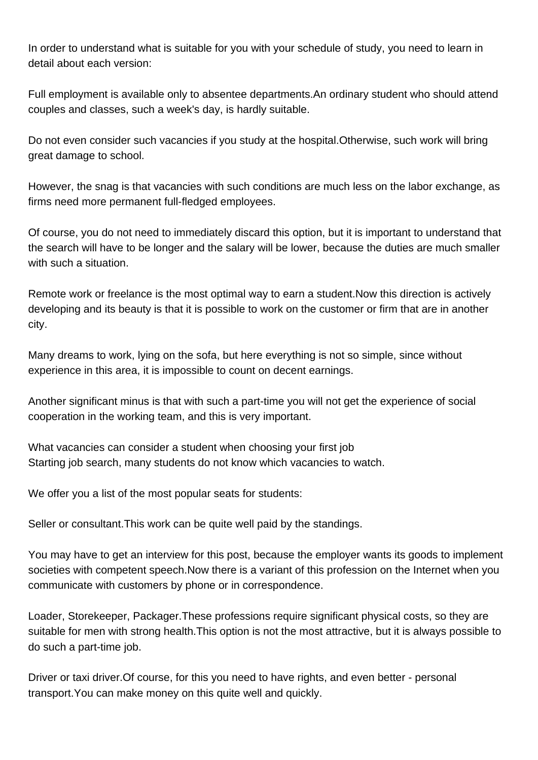In order to understand what is suitable for you with your schedule of study, you need to learn in detail about each version:

Full employment is available only to absentee departments.An ordinary student who should attend couples and classes, such a week's day, is hardly suitable.

Do not even consider such vacancies if you study at the hospital.Otherwise, such work will bring great damage to school.

However, the snag is that vacancies with such conditions are much less on the labor exchange, as firms need more permanent full-fledged employees.

Of course, you do not need to immediately discard this option, but it is important to understand that the search will have to be longer and the salary will be lower, because the duties are much smaller with such a situation.

Remote work or freelance is the most optimal way to earn a student.Now this direction is actively developing and its beauty is that it is possible to work on the customer or firm that are in another city.

Many dreams to work, lying on the sofa, but here everything is not so simple, since without experience in this area, it is impossible to count on decent earnings.

Another significant minus is that with such a part-time you will not get the experience of social cooperation in the working team, and this is very important.

What vacancies can consider a student when choosing your first job Starting job search, many students do not know which vacancies to watch.

We offer you a list of the most popular seats for students:

Seller or consultant.This work can be quite well paid by the standings.

You may have to get an interview for this post, because the employer wants its goods to implement societies with competent speech.Now there is a variant of this profession on the Internet when you communicate with customers by phone or in correspondence.

Loader, Storekeeper, Packager.These professions require significant physical costs, so they are suitable for men with strong health.This option is not the most attractive, but it is always possible to do such a part-time job.

Driver or taxi driver.Of course, for this you need to have rights, and even better - personal transport.You can make money on this quite well and quickly.